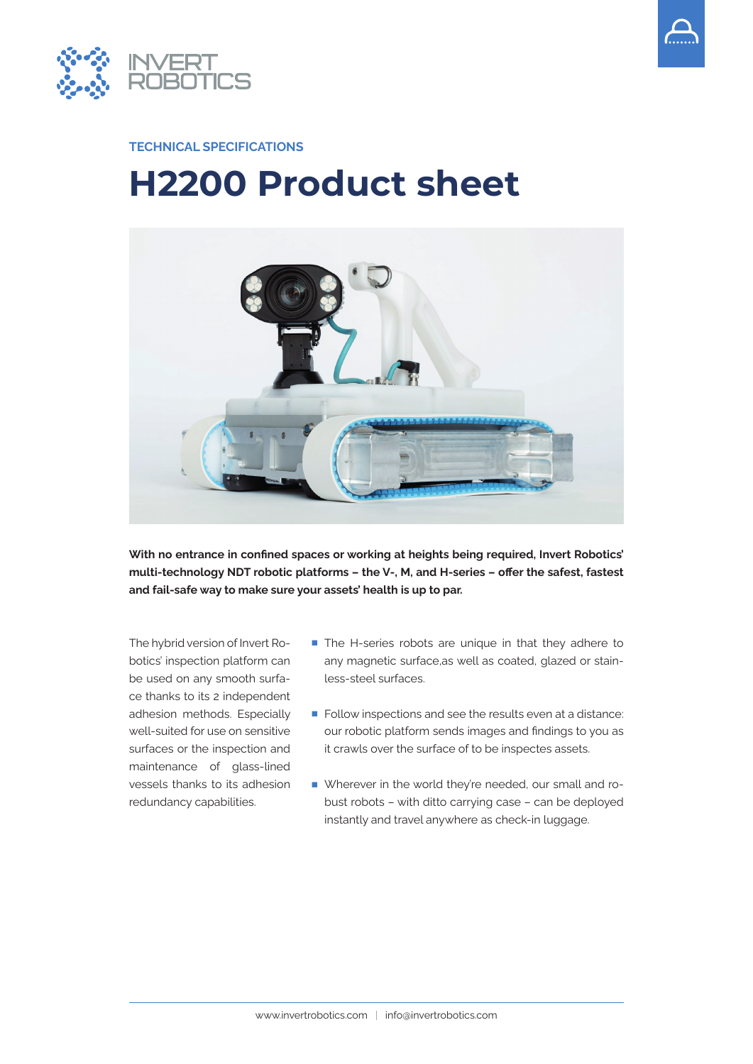



#### **TECHNICAL SPECIFICATIONS**

# **H2200 Product sheet**



**With no entrance in confined spaces or working at heights being required, Invert Robotics' multi-technology NDT robotic platforms – the V-, M, and H-series – offer the safest, fastest and fail-safe way to make sure your assets' health is up to par.**

The hybrid version of Invert Robotics' inspection platform can be used on any smooth surface thanks to its 2 independent adhesion methods. Especially well-suited for use on sensitive surfaces or the inspection and maintenance of glass-lined vessels thanks to its adhesion redundancy capabilities.

- The H-series robots are unique in that they adhere to any magnetic surface,as well as coated, glazed or stainless-steel surfaces.
- Follow inspections and see the results even at a distance: our robotic platform sends images and findings to you as it crawls over the surface of to be inspectes assets.
- Wherever in the world they're needed, our small and robust robots – with ditto carrying case – can be deployed instantly and travel anywhere as check-in luggage.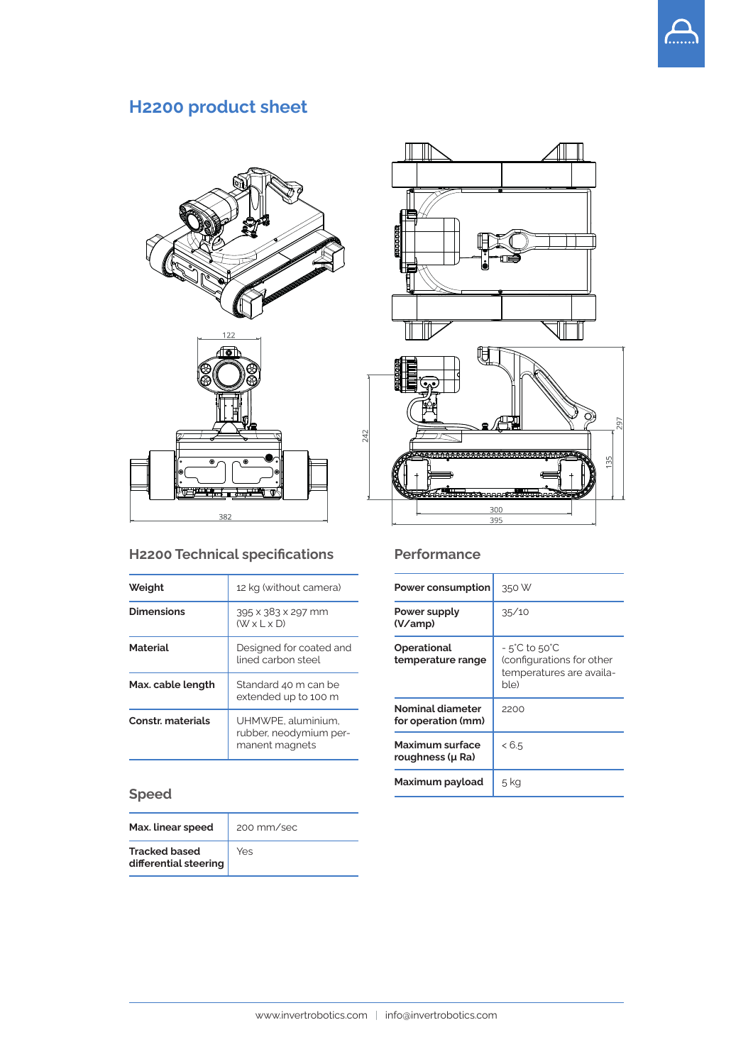# **H2200 product sheet**



## **H2200 Technical specifications**

| Weight                   | 12 kg (without camera)                                         |
|--------------------------|----------------------------------------------------------------|
| <b>Dimensions</b>        | 395 x 383 x 297 mm<br>$(W \times L \times D)$                  |
| <b>Material</b>          | Designed for coated and<br>lined carbon steel                  |
| Max. cable length        | Standard 40 m can be<br>extended up to 100 m                   |
| <b>Constr. materials</b> | UHMWPE, aluminium,<br>rubber, neodymium per-<br>manent magnets |

## **Speed**

| Max. linear speed                             | 200 mm/sec |
|-----------------------------------------------|------------|
| <b>Tracked based</b><br>differential steering | Yes        |



#### **Performance**

| Power consumption                      | 350 W                                                                                              |
|----------------------------------------|----------------------------------------------------------------------------------------------------|
| Power supply<br>(V/amp)                | 35/10                                                                                              |
| Operational<br>temperature range       | $-5^{\circ}$ C to 50 $^{\circ}$ C<br>(configurations for other<br>temperatures are availa-<br>ble) |
| Nominal diameter<br>for operation (mm) | 2200                                                                                               |
| Maximum surface<br>roughness (µ Ra)    | < 6.5                                                                                              |
| Maximum payload                        | 5 kg                                                                                               |